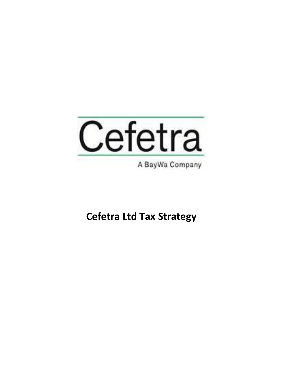

A BayWa Company

**Cefetra Ltd Tax Strategy**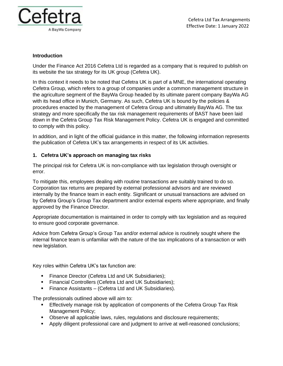

### **Introduction**

Under the Finance Act 2016 Cefetra Ltd is regarded as a company that is required to publish on its website the tax strategy for its UK group (Cefetra UK).

In this context it needs to be noted that Cefetra UK is part of a MNE, the international operating Cefetra Group, which refers to a group of companies under a common management structure in the agriculture segment of the BayWa Group headed by its ultimate parent company BayWa AG with its head office in Munich, Germany. As such, Cefetra UK is bound by the policies & procedures enacted by the management of Cefetra Group and ultimately BayWa AG. The tax strategy and more specifically the tax risk management requirements of BAST have been laid down in the Cefetra Group Tax Risk Management Policy. Cefetra UK is engaged and committed to comply with this policy.

In addition, and in light of the official guidance in this matter, the following information represents the publication of Cefetra UK's tax arrangements in respect of its UK activities.

## **1. Cefetra UK's approach on managing tax risks**

The principal risk for Cefetra UK is non-compliance with tax legislation through oversight or error.

To mitigate this, employees dealing with routine transactions are suitably trained to do so. Corporation tax returns are prepared by external professional advisors and are reviewed internally by the finance team in each entity. Significant or unusual transactions are advised on by Cefetra Group's Group Tax department and/or external experts where appropriate, and finally approved by the Finance Director.

Appropriate documentation is maintained in order to comply with tax legislation and as required to ensure good corporate governance.

Advice from Cefetra Group's Group Tax and/or external advice is routinely sought where the internal finance team is unfamiliar with the nature of the tax implications of a transaction or with new legislation.

Key roles within Cefetra UK's tax function are:

- Finance Director (Cefetra Ltd and UK Subsidiaries);
- **EXECTED Financial Controllers (Cefetra Ltd and UK Subsidiaries);**
- Finance Assistants (Cefetra Ltd and UK Subsidiaries).

The professionals outlined above will aim to:

- **Effectively manage risk by application of components of the Cefetra Group Tax Risk** Management Policy;
- **•** Observe all applicable laws, rules, regulations and disclosure requirements;
- Apply diligent professional care and judgment to arrive at well-reasoned conclusions;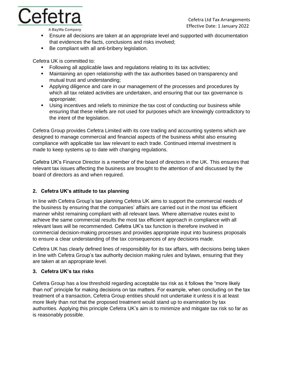

A BayWa Company

- **Ensure all decisions are taken at an appropriate level and supported with documentation** that evidences the facts, conclusions and risks involved;
- Be compliant with all anti-bribery legislation.

Cefetra UK is committed to:

- Following all applicable laws and regulations relating to its tax activities;
- **■** Maintaining an open relationship with the tax authorities based on transparency and mutual trust and understanding;
- Applying diligence and care in our management of the processes and procedures by which all tax related activities are undertaken, and ensuring that our tax governance is appropriate;
- Using incentives and reliefs to minimize the tax cost of conducting our business while ensuring that these reliefs are not used for purposes which are knowingly contradictory to the intent of the legislation.

Cefetra Group provides Cefetra Limited with its core trading and accounting systems which are designed to manage commercial and financial aspects of the business whilst also ensuring compliance with applicable tax law relevant to each trade. Continued internal investment is made to keep systems up to date with changing regulations.

Cefetra UK's Finance Director is a member of the board of directors in the UK. This ensures that relevant tax issues affecting the business are brought to the attention of and discussed by the board of directors as and when required.

# **2. Cefetra UK's attitude to tax planning**

In line with Cefetra Group's tax planning Cefetra UK aims to support the commercial needs of the business by ensuring that the companies' affairs are carried out in the most tax efficient manner whilst remaining compliant with all relevant laws. Where alternative routes exist to achieve the same commercial results the most tax efficient approach in compliance with all relevant laws will be recommended. Cefetra UK's tax function is therefore involved in commercial decision-making processes and provides appropriate input into business proposals to ensure a clear understanding of the tax consequences of any decisions made.

Cefetra UK has clearly defined lines of responsibility for its tax affairs, with decisions being taken in line with Cefetra Group's tax authority decision making rules and bylaws, ensuring that they are taken at an appropriate level.

## **3. Cefetra UK's tax risks**

Cefetra Group has a low threshold regarding acceptable tax risk as it follows the "more likely than not" principle for making decisions on tax matters. For example, when concluding on the tax treatment of a transaction, Cefetra Group entities should not undertake it unless it is at least more likely than not that the proposed treatment would stand up to examination by tax authorities. Applying this principle Cefetra UK's aim is to minimize and mitigate tax risk so far as is reasonably possible.